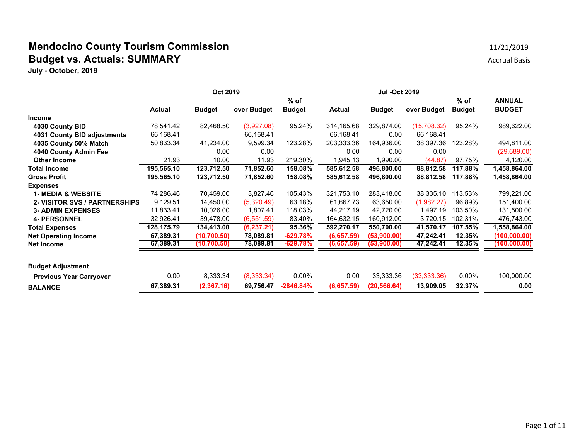## **Mendocino County Tourism Commission** 11/21/2019 11/21/2019 **Budget vs. Actuals: SUMMARY** Accrual Basis

|                                      | Oct 2019      |               |             |               | <b>Jul -Oct 2019</b> |               |              |               |               |
|--------------------------------------|---------------|---------------|-------------|---------------|----------------------|---------------|--------------|---------------|---------------|
|                                      |               |               |             | $%$ of        |                      |               |              | $%$ of        | <b>ANNUAL</b> |
|                                      | <b>Actual</b> | <b>Budget</b> | over Budget | <b>Budget</b> | <b>Actual</b>        | <b>Budget</b> | over Budget  | <b>Budget</b> | <b>BUDGET</b> |
| <b>Income</b>                        |               |               |             |               |                      |               |              |               |               |
| 4030 County BID                      | 78,541.42     | 82,468.50     | (3,927.08)  | 95.24%        | 314,165.68           | 329,874.00    | (15,708.32)  | 95.24%        | 989,622.00    |
| 4031 County BID adjustments          | 66,168.41     |               | 66,168.41   |               | 66,168.41            | 0.00          | 66,168.41    |               |               |
| 4035 County 50% Match                | 50,833.34     | 41,234.00     | 9,599.34    | 123.28%       | 203,333.36           | 164,936.00    | 38,397.36    | 123.28%       | 494,811.00    |
| 4040 County Admin Fee                |               | 0.00          | 0.00        |               | 0.00                 | 0.00          | 0.00         |               | (29,689.00)   |
| <b>Other Income</b>                  | 21.93         | 10.00         | 11.93       | 219.30%       | 1,945.13             | 1,990.00      | (44.87)      | 97.75%        | 4,120.00      |
| <b>Total Income</b>                  | 195,565.10    | 123,712.50    | 71,852.60   | 158.08%       | 585,612.58           | 496,800.00    | 88,812.58    | 117.88%       | 1,458,864.00  |
| <b>Gross Profit</b>                  | 195,565.10    | 123,712.50    | 71,852.60   | 158.08%       | 585,612.58           | 496,800.00    | 88,812.58    | 117.88%       | 1,458,864.00  |
| <b>Expenses</b>                      |               |               |             |               |                      |               |              |               |               |
| <b>1- MEDIA &amp; WEBSITE</b>        | 74,286.46     | 70,459.00     | 3,827.46    | 105.43%       | 321,753.10           | 283,418.00    | 38,335.10    | 113.53%       | 799,221.00    |
| <b>2- VISITOR SVS / PARTNERSHIPS</b> | 9,129.51      | 14,450.00     | (5,320.49)  | 63.18%        | 61,667.73            | 63,650.00     | (1,982.27)   | 96.89%        | 151,400.00    |
| <b>3- ADMIN EXPENSES</b>             | 11,833.41     | 10,026.00     | 1,807.41    | 118.03%       | 44,217.19            | 42,720.00     | 1,497.19     | 103.50%       | 131,500.00    |
| <b>4- PERSONNEL</b>                  | 32,926.41     | 39,478.00     | (6, 551.59) | 83.40%        | 164,632.15           | 160,912.00    | 3,720.15     | 102.31%       | 476,743.00    |
| <b>Total Expenses</b>                | 128, 175. 79  | 134,413.00    | (6, 237.21) | 95.36%        | 592,270.17           | 550,700.00    | 41,570.17    | 107.55%       | 1,558,864.00  |
| <b>Net Operating Income</b>          | 67,389.31     | (10,700.50)   | 78,089.81   | -629.78%      | (6,657.59)           | (53,900.00)   | 47,242.41    | 12.35%        | (100,000.00)  |
| <b>Net Income</b>                    | 67,389.31     | (10, 700.50)  | 78,089.81   | $-629.78%$    | (6,657.59)           | (53,900.00)   | 47,242.41    | 12.35%        | (100,000.00)  |
| <b>Budget Adjustment</b>             |               |               |             |               |                      |               |              |               |               |
|                                      |               |               |             |               |                      |               |              |               |               |
| <b>Previous Year Carryover</b>       | 0.00          | 8,333.34      | (8,333.34)  | $0.00\%$      | 0.00                 | 33,333.36     | (33, 333.36) | $0.00\%$      | 100,000.00    |
| <b>BALANCE</b>                       | 67,389.31     | (2,367.16)    | 69,756.47   | $-2846.84%$   | (6,657.59)           | (20, 566.64)  | 13,909.05    | 32.37%        | 0.00          |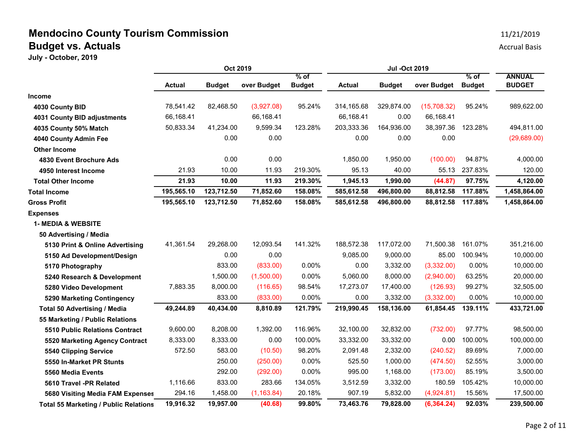|                                              | Oct 2019      |               |             | <b>Jul -Oct 2019</b>    |               |               |             |                         |                                |
|----------------------------------------------|---------------|---------------|-------------|-------------------------|---------------|---------------|-------------|-------------------------|--------------------------------|
|                                              | <b>Actual</b> | <b>Budget</b> | over Budget | $%$ of<br><b>Budget</b> | <b>Actual</b> | <b>Budget</b> | over Budget | $%$ of<br><b>Budget</b> | <b>ANNUAL</b><br><b>BUDGET</b> |
| Income                                       |               |               |             |                         |               |               |             |                         |                                |
| 4030 County BID                              | 78,541.42     | 82,468.50     | (3,927.08)  | 95.24%                  | 314,165.68    | 329,874.00    | (15,708.32) | 95.24%                  | 989,622.00                     |
| 4031 County BID adjustments                  | 66,168.41     |               | 66,168.41   |                         | 66,168.41     | 0.00          | 66,168.41   |                         |                                |
| 4035 County 50% Match                        | 50,833.34     | 41,234.00     | 9,599.34    | 123.28%                 | 203,333.36    | 164,936.00    | 38,397.36   | 123.28%                 | 494,811.00                     |
| 4040 County Admin Fee                        |               | 0.00          | 0.00        |                         | 0.00          | 0.00          | 0.00        |                         | (29,689.00)                    |
| <b>Other Income</b>                          |               |               |             |                         |               |               |             |                         |                                |
| 4830 Event Brochure Ads                      |               | 0.00          | 0.00        |                         | 1,850.00      | 1,950.00      | (100.00)    | 94.87%                  | 4,000.00                       |
| 4950 Interest Income                         | 21.93         | 10.00         | 11.93       | 219.30%                 | 95.13         | 40.00         | 55.13       | 237.83%                 | 120.00                         |
| <b>Total Other Income</b>                    | 21.93         | 10.00         | 11.93       | 219.30%                 | 1,945.13      | 1,990.00      | (44.87)     | 97.75%                  | 4,120.00                       |
| Total Income                                 | 195,565.10    | 123,712.50    | 71,852.60   | 158.08%                 | 585,612.58    | 496,800.00    | 88,812.58   | 117.88%                 | 1,458,864.00                   |
| <b>Gross Profit</b>                          | 195,565.10    | 123,712.50    | 71,852.60   | 158.08%                 | 585,612.58    | 496,800.00    | 88,812.58   | 117.88%                 | 1,458,864.00                   |
| <b>Expenses</b>                              |               |               |             |                         |               |               |             |                         |                                |
| <b>1- MEDIA &amp; WEBSITE</b>                |               |               |             |                         |               |               |             |                         |                                |
| 50 Advertising / Media                       |               |               |             |                         |               |               |             |                         |                                |
| 5130 Print & Online Advertising              | 41,361.54     | 29,268.00     | 12,093.54   | 141.32%                 | 188,572.38    | 117,072.00    | 71,500.38   | 161.07%                 | 351,216.00                     |
| 5150 Ad Development/Design                   |               | 0.00          | 0.00        |                         | 9.085.00      | 9,000.00      | 85.00       | 100.94%                 | 10,000.00                      |
| 5170 Photography                             |               | 833.00        | (833.00)    | 0.00%                   | 0.00          | 3,332.00      | (3,332.00)  | 0.00%                   | 10,000.00                      |
| 5240 Research & Development                  |               | 1,500.00      | (1,500.00)  | $0.00\%$                | 5,060.00      | 8,000.00      | (2,940.00)  | 63.25%                  | 20,000.00                      |
| 5280 Video Development                       | 7,883.35      | 8,000.00      | (116.65)    | 98.54%                  | 17,273.07     | 17,400.00     | (126.93)    | 99.27%                  | 32,505.00                      |
| 5290 Marketing Contingency                   |               | 833.00        | (833.00)    | 0.00%                   | 0.00          | 3,332.00      | (3,332.00)  | 0.00%                   | 10,000.00                      |
| <b>Total 50 Advertising / Media</b>          | 49,244.89     | 40,434.00     | 8,810.89    | 121.79%                 | 219,990.45    | 158,136.00    | 61,854.45   | 139.11%                 | 433,721.00                     |
| 55 Marketing / Public Relations              |               |               |             |                         |               |               |             |                         |                                |
| 5510 Public Relations Contract               | 9,600.00      | 8,208.00      | 1,392.00    | 116.96%                 | 32,100.00     | 32,832.00     | (732.00)    | 97.77%                  | 98,500.00                      |
| 5520 Marketing Agency Contract               | 8,333.00      | 8,333.00      | 0.00        | 100.00%                 | 33,332.00     | 33,332.00     | 0.00        | 100.00%                 | 100,000.00                     |
| 5540 Clipping Service                        | 572.50        | 583.00        | (10.50)     | 98.20%                  | 2,091.48      | 2,332.00      | (240.52)    | 89.69%                  | 7,000.00                       |
| 5550 In-Market PR Stunts                     |               | 250.00        | (250.00)    | 0.00%                   | 525.50        | 1,000.00      | (474.50)    | 52.55%                  | 3,000.00                       |
| 5560 Media Events                            |               | 292.00        | (292.00)    | $0.00\%$                | 995.00        | 1,168.00      | (173.00)    | 85.19%                  | 3,500.00                       |
| 5610 Travel -PR Related                      | 1,116.66      | 833.00        | 283.66      | 134.05%                 | 3,512.59      | 3,332.00      | 180.59      | 105.42%                 | 10,000.00                      |
| 5680 Visiting Media FAM Expenses             | 294.16        | 1,458.00      | (1, 163.84) | 20.18%                  | 907.19        | 5,832.00      | (4,924.81)  | 15.56%                  | 17,500.00                      |
| <b>Total 55 Marketing / Public Relations</b> | 19,916.32     | 19,957.00     | (40.68)     | 99.80%                  | 73,463.76     | 79,828.00     | (6, 364.24) | 92.03%                  | 239,500.00                     |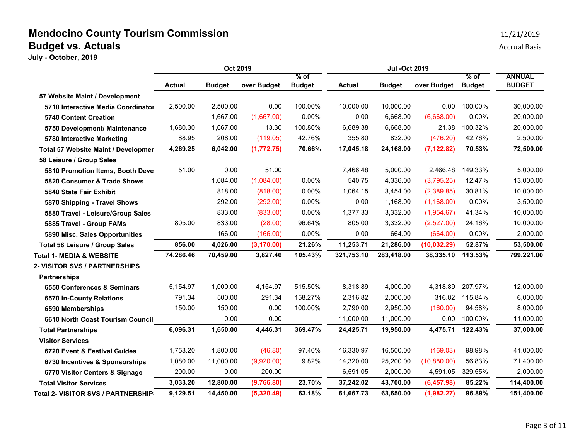|                                            | Oct 2019      |               |             | <b>Jul -Oct 2019</b>    |               |               |              |                         |                                |
|--------------------------------------------|---------------|---------------|-------------|-------------------------|---------------|---------------|--------------|-------------------------|--------------------------------|
|                                            | <b>Actual</b> | <b>Budget</b> | over Budget | $%$ of<br><b>Budget</b> | <b>Actual</b> | <b>Budget</b> | over Budget  | $%$ of<br><b>Budget</b> | <b>ANNUAL</b><br><b>BUDGET</b> |
| 57 Website Maint / Development             |               |               |             |                         |               |               |              |                         |                                |
| 5710 Interactive Media Coordinator         | 2,500.00      | 2,500.00      | 0.00        | 100.00%                 | 10,000.00     | 10,000.00     | 0.00         | 100.00%                 | 30,000.00                      |
| <b>5740 Content Creation</b>               |               | 1,667.00      | (1,667.00)  | 0.00%                   | 0.00          | 6,668.00      | (6,668.00)   | $0.00\%$                | 20,000.00                      |
| 5750 Development/ Maintenance              | 1,680.30      | 1,667.00      | 13.30       | 100.80%                 | 6,689.38      | 6,668.00      | 21.38        | 100.32%                 | 20,000.00                      |
| 5780 Interactive Marketing                 | 88.95         | 208.00        | (119.05)    | 42.76%                  | 355.80        | 832.00        | (476.20)     | 42.76%                  | 2,500.00                       |
| <b>Total 57 Website Maint / Developmer</b> | 4,269.25      | 6,042.00      | (1,772.75)  | 70.66%                  | 17,045.18     | 24,168.00     | (7, 122.82)  | 70.53%                  | 72,500.00                      |
| 58 Leisure / Group Sales                   |               |               |             |                         |               |               |              |                         |                                |
| 5810 Promotion Items, Booth Deve           | 51.00         | 0.00          | 51.00       |                         | 7,466.48      | 5,000.00      | 2,466.48     | 149.33%                 | 5,000.00                       |
| 5820 Consumer & Trade Shows                |               | 1,084.00      | (1,084.00)  | $0.00\%$                | 540.75        | 4,336.00      | (3,795.25)   | 12.47%                  | 13,000.00                      |
| 5840 State Fair Exhibit                    |               | 818.00        | (818.00)    | 0.00%                   | 1,064.15      | 3,454.00      | (2,389.85)   | 30.81%                  | 10,000.00                      |
| 5870 Shipping - Travel Shows               |               | 292.00        | (292.00)    | 0.00%                   | 0.00          | 1,168.00      | (1, 168.00)  | 0.00%                   | 3,500.00                       |
| 5880 Travel - Leisure/Group Sales          |               | 833.00        | (833.00)    | 0.00%                   | 1,377.33      | 3,332.00      | (1,954.67)   | 41.34%                  | 10,000.00                      |
| 5885 Travel - Group FAMs                   | 805.00        | 833.00        | (28.00)     | 96.64%                  | 805.00        | 3,332.00      | (2,527.00)   | 24.16%                  | 10,000.00                      |
| 5890 Misc. Sales Opportunities             |               | 166.00        | (166.00)    | 0.00%                   | 0.00          | 664.00        | (664.00)     | 0.00%                   | 2,000.00                       |
| Total 58 Leisure / Group Sales             | 856.00        | 4,026.00      | (3, 170.00) | 21.26%                  | 11,253.71     | 21,286.00     | (10, 032.29) | 52.87%                  | 53,500.00                      |
| <b>Total 1- MEDIA &amp; WEBSITE</b>        | 74,286.46     | 70,459.00     | 3,827.46    | 105.43%                 | 321,753.10    | 283,418.00    | 38,335.10    | 113.53%                 | 799,221.00                     |
| <b>2- VISITOR SVS / PARTNERSHIPS</b>       |               |               |             |                         |               |               |              |                         |                                |
| <b>Partnerships</b>                        |               |               |             |                         |               |               |              |                         |                                |
| 6550 Conferences & Seminars                | 5,154.97      | 1,000.00      | 4,154.97    | 515.50%                 | 8,318.89      | 4,000.00      | 4,318.89     | 207.97%                 | 12,000.00                      |
| 6570 In-County Relations                   | 791.34        | 500.00        | 291.34      | 158.27%                 | 2,316.82      | 2,000.00      | 316.82       | 115.84%                 | 6,000.00                       |
| 6590 Memberships                           | 150.00        | 150.00        | 0.00        | 100.00%                 | 2,790.00      | 2,950.00      | (160.00)     | 94.58%                  | 8,000.00                       |
| 6610 North Coast Tourism Council           |               | 0.00          | 0.00        |                         | 11,000.00     | 11,000.00     | 0.00         | 100.00%                 | 11,000.00                      |
| <b>Total Partnerships</b>                  | 6,096.31      | 1,650.00      | 4,446.31    | 369.47%                 | 24,425.71     | 19,950.00     | 4,475.71     | 122.43%                 | 37,000.00                      |
| <b>Visitor Services</b>                    |               |               |             |                         |               |               |              |                         |                                |
| 6720 Event & Festival Guides               | 1,753.20      | 1,800.00      | (46.80)     | 97.40%                  | 16,330.97     | 16,500.00     | (169.03)     | 98.98%                  | 41,000.00                      |
| 6730 Incentives & Sponsorships             | 1,080.00      | 11,000.00     | (9,920.00)  | 9.82%                   | 14,320.00     | 25,200.00     | (10,880.00)  | 56.83%                  | 71,400.00                      |
| 6770 Visitor Centers & Signage             | 200.00        | 0.00          | 200.00      |                         | 6,591.05      | 2,000.00      | 4,591.05     | 329.55%                 | 2,000.00                       |
| <b>Total Visitor Services</b>              | 3,033.20      | 12,800.00     | (9,766.80)  | 23.70%                  | 37,242.02     | 43,700.00     | (6, 457.98)  | 85.22%                  | 114,400.00                     |
| Total 2- VISITOR SVS / PARTNERSHIP         | 9,129.51      | 14,450.00     | (5,320.49)  | 63.18%                  | 61.667.73     | 63,650.00     | (1,982.27)   | 96.89%                  | 151,400.00                     |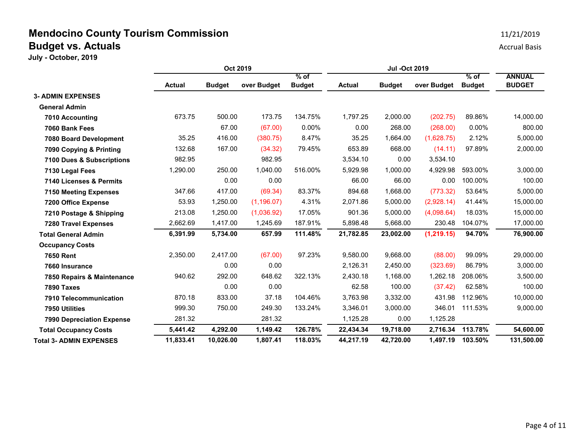|                                  | Oct 2019      |               |             | Jul -Oct 2019           |               |               |             |                         |                                |
|----------------------------------|---------------|---------------|-------------|-------------------------|---------------|---------------|-------------|-------------------------|--------------------------------|
|                                  | <b>Actual</b> | <b>Budget</b> | over Budget | $%$ of<br><b>Budget</b> | <b>Actual</b> | <b>Budget</b> | over Budget | $%$ of<br><b>Budget</b> | <b>ANNUAL</b><br><b>BUDGET</b> |
| <b>3- ADMIN EXPENSES</b>         |               |               |             |                         |               |               |             |                         |                                |
| <b>General Admin</b>             |               |               |             |                         |               |               |             |                         |                                |
| 7010 Accounting                  | 673.75        | 500.00        | 173.75      | 134.75%                 | 1,797.25      | 2,000.00      | (202.75)    | 89.86%                  | 14,000.00                      |
| 7060 Bank Fees                   |               | 67.00         | (67.00)     | $0.00\%$                | 0.00          | 268.00        | (268.00)    | $0.00\%$                | 800.00                         |
| 7080 Board Development           | 35.25         | 416.00        | (380.75)    | 8.47%                   | 35.25         | 1,664.00      | (1,628.75)  | 2.12%                   | 5,000.00                       |
| 7090 Copying & Printing          | 132.68        | 167.00        | (34.32)     | 79.45%                  | 653.89        | 668.00        | (14.11)     | 97.89%                  | 2,000.00                       |
| 7100 Dues & Subscriptions        | 982.95        |               | 982.95      |                         | 3,534.10      | 0.00          | 3,534.10    |                         |                                |
| 7130 Legal Fees                  | 1,290.00      | 250.00        | 1,040.00    | 516.00%                 | 5,929.98      | 1,000.00      | 4,929.98    | 593.00%                 | 3,000.00                       |
| 7140 Licenses & Permits          |               | 0.00          | 0.00        |                         | 66.00         | 66.00         | 0.00        | 100.00%                 | 100.00                         |
| <b>7150 Meeting Expenses</b>     | 347.66        | 417.00        | (69.34)     | 83.37%                  | 894.68        | 1,668.00      | (773.32)    | 53.64%                  | 5,000.00                       |
| 7200 Office Expense              | 53.93         | 1,250.00      | (1, 196.07) | 4.31%                   | 2,071.86      | 5,000.00      | (2,928.14)  | 41.44%                  | 15,000.00                      |
| 7210 Postage & Shipping          | 213.08        | 1,250.00      | (1,036.92)  | 17.05%                  | 901.36        | 5,000.00      | (4,098.64)  | 18.03%                  | 15,000.00                      |
| <b>7280 Travel Expenses</b>      | 2,662.69      | 1,417.00      | 1,245.69    | 187.91%                 | 5,898.48      | 5,668.00      | 230.48      | 104.07%                 | 17,000.00                      |
| <b>Total General Admin</b>       | 6,391.99      | 5,734.00      | 657.99      | 111.48%                 | 21,782.85     | 23,002.00     | (1, 219.15) | 94.70%                  | 76,900.00                      |
| <b>Occupancy Costs</b>           |               |               |             |                         |               |               |             |                         |                                |
| <b>7650 Rent</b>                 | 2,350.00      | 2,417.00      | (67.00)     | 97.23%                  | 9,580.00      | 9,668.00      | (88.00)     | 99.09%                  | 29,000.00                      |
| 7660 Insurance                   |               | 0.00          | 0.00        |                         | 2,126.31      | 2,450.00      | (323.69)    | 86.79%                  | 3,000.00                       |
| 7850 Repairs & Maintenance       | 940.62        | 292.00        | 648.62      | 322.13%                 | 2,430.18      | 1,168.00      | 1,262.18    | 208.06%                 | 3,500.00                       |
| <b>7890 Taxes</b>                |               | 0.00          | 0.00        |                         | 62.58         | 100.00        | (37.42)     | 62.58%                  | 100.00                         |
| 7910 Telecommunication           | 870.18        | 833.00        | 37.18       | 104.46%                 | 3,763.98      | 3,332.00      | 431.98      | 112.96%                 | 10,000.00                      |
| 7950 Utilities                   | 999.30        | 750.00        | 249.30      | 133.24%                 | 3,346.01      | 3,000.00      | 346.01      | 111.53%                 | 9,000.00                       |
| <b>7990 Depreciation Expense</b> | 281.32        |               | 281.32      |                         | 1,125.28      | 0.00          | 1,125.28    |                         |                                |
| <b>Total Occupancy Costs</b>     | 5,441.42      | 4,292.00      | 1,149.42    | 126.78%                 | 22,434.34     | 19,718.00     | 2,716.34    | 113.78%                 | 54,600.00                      |
| <b>Total 3- ADMIN EXPENSES</b>   | 11,833.41     | 10,026.00     | 1,807.41    | 118.03%                 | 44,217.19     | 42,720.00     | 1,497.19    | 103.50%                 | 131,500.00                     |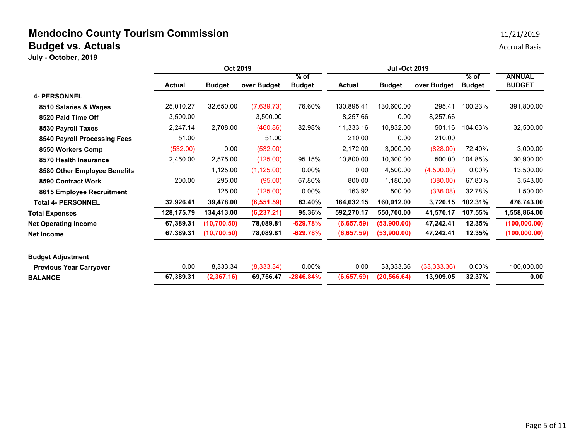|                                | Oct 2019      |               |             | <b>Jul -Oct 2019</b> |               |               |              |               |                                |
|--------------------------------|---------------|---------------|-------------|----------------------|---------------|---------------|--------------|---------------|--------------------------------|
|                                |               |               | over Budget | $%$ of               |               |               | over Budget  | $%$ of        | <b>ANNUAL</b><br><b>BUDGET</b> |
|                                | <b>Actual</b> | <b>Budget</b> |             | <b>Budget</b>        | <b>Actual</b> | <b>Budget</b> |              | <b>Budget</b> |                                |
| <b>4- PERSONNEL</b>            |               |               |             |                      |               |               |              |               |                                |
| 8510 Salaries & Wages          | 25,010.27     | 32,650.00     | (7,639.73)  | 76.60%               | 130,895.41    | 130,600.00    | 295.41       | 100.23%       | 391,800.00                     |
| 8520 Paid Time Off             | 3,500.00      |               | 3,500.00    |                      | 8,257.66      | 0.00          | 8,257.66     |               |                                |
| 8530 Payroll Taxes             | 2,247.14      | 2,708.00      | (460.86)    | 82.98%               | 11,333.16     | 10,832.00     | 501.16       | 104.63%       | 32,500.00                      |
| 8540 Payroll Processing Fees   | 51.00         |               | 51.00       |                      | 210.00        | 0.00          | 210.00       |               |                                |
| 8550 Workers Comp              | (532.00)      | 0.00          | (532.00)    |                      | 2,172.00      | 3,000.00      | (828.00)     | 72.40%        | 3,000.00                       |
| 8570 Health Insurance          | 2,450.00      | 2,575.00      | (125.00)    | 95.15%               | 10,800.00     | 10,300.00     | 500.00       | 104.85%       | 30,900.00                      |
| 8580 Other Employee Benefits   |               | 1,125.00      | (1, 125.00) | $0.00\%$             | 0.00          | 4,500.00      | (4,500.00)   | $0.00\%$      | 13,500.00                      |
| 8590 Contract Work             | 200.00        | 295.00        | (95.00)     | 67.80%               | 800.00        | 1,180.00      | (380.00)     | 67.80%        | 3,543.00                       |
| 8615 Employee Recruitment      |               | 125.00        | (125.00)    | $0.00\%$             | 163.92        | 500.00        | (336.08)     | 32.78%        | 1,500.00                       |
| <b>Total 4- PERSONNEL</b>      | 32,926.41     | 39,478.00     | (6, 551.59) | 83.40%               | 164,632.15    | 160,912.00    | 3,720.15     | 102.31%       | 476,743.00                     |
| <b>Total Expenses</b>          | 128,175.79    | 134,413.00    | (6, 237.21) | 95.36%               | 592,270.17    | 550,700.00    | 41,570.17    | 107.55%       | 1,558,864.00                   |
| <b>Net Operating Income</b>    | 67,389.31     | (10, 700.50)  | 78,089.81   | $-629.78%$           | (6,657.59)    | (53,900.00)   | 47,242.41    | 12.35%        | (100, 000.00)                  |
| Net Income                     | 67,389.31     | (10, 700.50)  | 78,089.81   | $-629.78%$           | (6,657.59)    | (53,900.00)   | 47,242.41    | 12.35%        | (100,000.00)                   |
| <b>Budget Adjustment</b>       |               |               |             |                      |               |               |              |               |                                |
| <b>Previous Year Carryover</b> | 0.00          | 8,333.34      | (8,333.34)  | $0.00\%$             | 0.00          | 33,333.36     | (33, 333.36) | $0.00\%$      | 100,000.00                     |
| <b>BALANCE</b>                 | 67,389.31     | (2,367.16)    | 69,756.47   | $-2846.84%$          | (6,657.59)    | (20, 566.64)  | 13,909.05    | 32.37%        | 0.00                           |
|                                |               |               |             |                      |               |               |              |               |                                |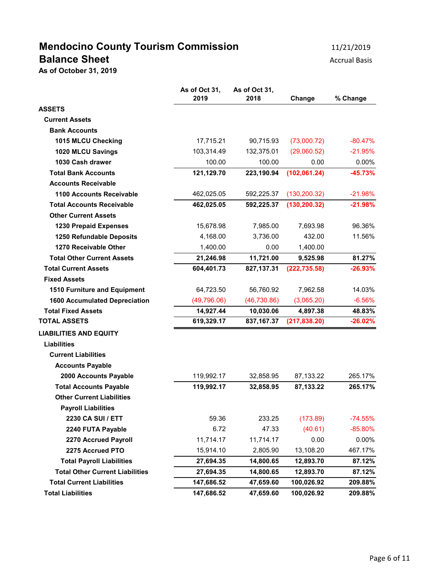# **Mendocino County Tourism Commission** 11/21/2019 **Balance Sheet** Accrual Basis Accrual Basis

**As of October 31, 2019**

|                                        | As of Oct 31,<br>2019 | As of Oct 31,<br>2018 | Change        | % Change  |
|----------------------------------------|-----------------------|-----------------------|---------------|-----------|
| <b>ASSETS</b>                          |                       |                       |               |           |
| <b>Current Assets</b>                  |                       |                       |               |           |
| <b>Bank Accounts</b>                   |                       |                       |               |           |
| 1015 MLCU Checking                     | 17,715.21             | 90,715.93             | (73,000.72)   | $-80.47%$ |
| 1020 MLCU Savings                      | 103,314.49            | 132,375.01            | (29,060.52)   | $-21.95%$ |
| 1030 Cash drawer                       | 100.00                | 100.00                | 0.00          | $0.00\%$  |
| <b>Total Bank Accounts</b>             | 121,129.70            | 223,190.94            | (102, 061.24) | $-45.73%$ |
| <b>Accounts Receivable</b>             |                       |                       |               |           |
| <b>1100 Accounts Receivable</b>        | 462,025.05            | 592,225.37            | (130, 200.32) | $-21.98%$ |
| <b>Total Accounts Receivable</b>       | 462,025.05            | 592,225.37            | (130, 200.32) | $-21.98%$ |
| <b>Other Current Assets</b>            |                       |                       |               |           |
| 1230 Prepaid Expenses                  | 15,678.98             | 7,985.00              | 7,693.98      | 96.36%    |
| 1250 Refundable Deposits               | 4,168.00              | 3,736.00              | 432.00        | 11.56%    |
| 1270 Receivable Other                  | 1,400.00              | 0.00                  | 1,400.00      |           |
| <b>Total Other Current Assets</b>      | 21,246.98             | 11,721.00             | 9,525.98      | 81.27%    |
| <b>Total Current Assets</b>            | 604,401.73            | 827,137.31            | (222, 735.58) | $-26.93%$ |
| <b>Fixed Assets</b>                    |                       |                       |               |           |
| 1510 Furniture and Equipment           | 64,723.50             | 56,760.92             | 7,962.58      | 14.03%    |
| <b>1600 Accumulated Depreciation</b>   | (49,796.06)           | (46, 730.86)          | (3,065.20)    | $-6.56%$  |
| <b>Total Fixed Assets</b>              | 14,927.44             | 10,030.06             | 4,897.38      | 48.83%    |
| <b>TOTAL ASSETS</b>                    | 619,329.17            | 837, 167.37           | (217, 838.20) | $-26.02%$ |
| <b>LIABILITIES AND EQUITY</b>          |                       |                       |               |           |
| <b>Liabilities</b>                     |                       |                       |               |           |
| <b>Current Liabilities</b>             |                       |                       |               |           |
| <b>Accounts Payable</b>                |                       |                       |               |           |
| 2000 Accounts Payable                  | 119,992.17            | 32,858.95             | 87,133.22     | 265.17%   |
| <b>Total Accounts Payable</b>          | 119,992.17            | 32,858.95             | 87,133.22     | 265.17%   |
| <b>Other Current Liabilities</b>       |                       |                       |               |           |
| <b>Payroll Liabilities</b>             |                       |                       |               |           |
| 2230 CA SUI / ETT                      | 59.36                 | 233.25                | (173.89)      | $-74.55%$ |
| 2240 FUTA Payable                      | 6.72                  | 47.33                 | (40.61)       | $-85.80%$ |
| 2270 Accrued Payroll                   | 11,714.17             | 11,714.17             | 0.00          | $0.00\%$  |
| 2275 Accrued PTO                       | 15,914.10             | 2,805.90              | 13,108.20     | 467.17%   |
| <b>Total Payroll Liabilities</b>       | 27,694.35             | 14,800.65             | 12,893.70     | 87.12%    |
| <b>Total Other Current Liabilities</b> | 27,694.35             | 14,800.65             | 12,893.70     | 87.12%    |
| <b>Total Current Liabilities</b>       | 147,686.52            | 47,659.60             | 100,026.92    | 209.88%   |
| <b>Total Liabilities</b>               | 147,686.52            | 47,659.60             | 100,026.92    | 209.88%   |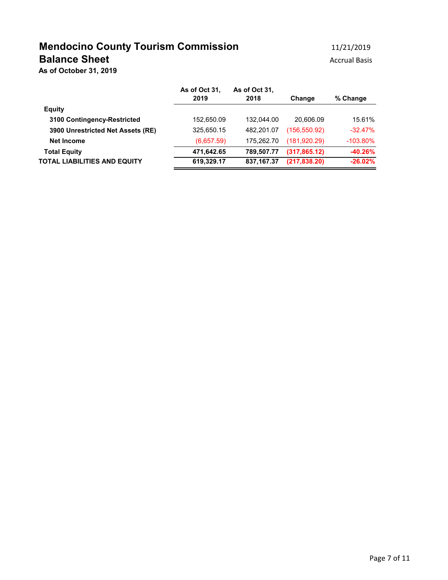## **Mendocino County Tourism Commission** 11/21/2019 **Balance Sheet** Accrual Basis Accrual Basis

**As of October 31, 2019**

|                                   | As of Oct 31.<br>2019 | As of Oct 31.<br>2018 | Change        | % Change    |
|-----------------------------------|-----------------------|-----------------------|---------------|-------------|
| <b>Equity</b>                     |                       |                       |               |             |
| 3100 Contingency-Restricted       | 152,650.09            | 132.044.00            | 20.606.09     | 15.61%      |
| 3900 Unrestricted Net Assets (RE) | 325,650.15            | 482.201.07            | (156, 550.92) | $-32.47%$   |
| Net Income                        | (6,657.59)            | 175.262.70            | (181, 920.29) | $-103.80\%$ |
| <b>Total Equity</b>               | 471,642.65            | 789.507.77            | (317, 865.12) | $-40.26%$   |
| TOTAL LIABILITIES AND EQUITY      | 619,329.17            | 837, 167. 37          | (217, 838.20) | $-26.02%$   |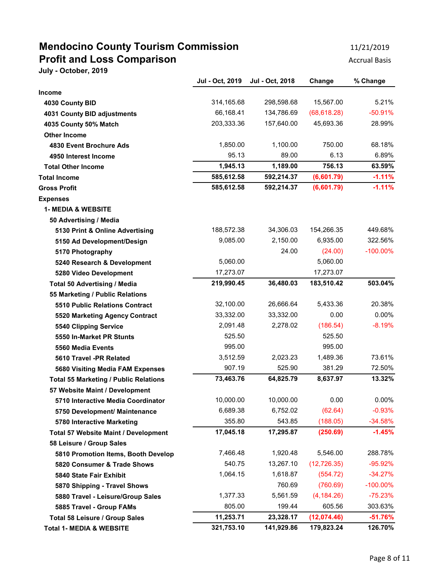## **Mendocino County Tourism Commission** 11/21/2019 **Profit and Loss Comparison Accrual Basis** Accrual Basis

|                                              | Jul - Oct, 2019 | Jul - Oct, 2018 | Change       | % Change    |
|----------------------------------------------|-----------------|-----------------|--------------|-------------|
| <b>Income</b>                                |                 |                 |              |             |
| 4030 County BID                              | 314,165.68      | 298,598.68      | 15,567.00    | 5.21%       |
| 4031 County BID adjustments                  | 66,168.41       | 134,786.69      | (68, 618.28) | $-50.91%$   |
| 4035 County 50% Match                        | 203,333.36      | 157,640.00      | 45,693.36    | 28.99%      |
| <b>Other Income</b>                          |                 |                 |              |             |
| 4830 Event Brochure Ads                      | 1,850.00        | 1,100.00        | 750.00       | 68.18%      |
| 4950 Interest Income                         | 95.13           | 89.00           | 6.13         | 6.89%       |
| <b>Total Other Income</b>                    | 1,945.13        | 1,189.00        | 756.13       | 63.59%      |
| <b>Total Income</b>                          | 585,612.58      | 592,214.37      | (6,601.79)   | $-1.11%$    |
| <b>Gross Profit</b>                          | 585,612.58      | 592,214.37      | (6,601.79)   | $-1.11%$    |
| <b>Expenses</b>                              |                 |                 |              |             |
| <b>1- MEDIA &amp; WEBSITE</b>                |                 |                 |              |             |
| 50 Advertising / Media                       |                 |                 |              |             |
| 5130 Print & Online Advertising              | 188,572.38      | 34,306.03       | 154,266.35   | 449.68%     |
| 5150 Ad Development/Design                   | 9,085.00        | 2,150.00        | 6,935.00     | 322.56%     |
| 5170 Photography                             |                 | 24.00           | (24.00)      | $-100.00\%$ |
| 5240 Research & Development                  | 5,060.00        |                 | 5,060.00     |             |
| 5280 Video Development                       | 17,273.07       |                 | 17,273.07    |             |
| <b>Total 50 Advertising / Media</b>          | 219,990.45      | 36,480.03       | 183,510.42   | 503.04%     |
| 55 Marketing / Public Relations              |                 |                 |              |             |
| <b>5510 Public Relations Contract</b>        | 32,100.00       | 26,666.64       | 5,433.36     | 20.38%      |
| 5520 Marketing Agency Contract               | 33,332.00       | 33,332.00       | 0.00         | $0.00\%$    |
| 5540 Clipping Service                        | 2,091.48        | 2,278.02        | (186.54)     | $-8.19%$    |
| 5550 In-Market PR Stunts                     | 525.50          |                 | 525.50       |             |
| 5560 Media Events                            | 995.00          |                 | 995.00       |             |
| 5610 Travel -PR Related                      | 3,512.59        | 2,023.23        | 1,489.36     | 73.61%      |
| 5680 Visiting Media FAM Expenses             | 907.19          | 525.90          | 381.29       | 72.50%      |
| <b>Total 55 Marketing / Public Relations</b> | 73,463.76       | 64,825.79       | 8,637.97     | 13.32%      |
| 57 Website Maint / Development               |                 |                 |              |             |
| 5710 Interactive Media Coordinator           | 10,000.00       | 10,000.00       | 0.00         | $0.00\%$    |
| 5750 Development/ Maintenance                | 6,689.38        | 6,752.02        | (62.64)      | $-0.93%$    |
| 5780 Interactive Marketing                   | 355.80          | 543.85          | (188.05)     | $-34.58%$   |
| <b>Total 57 Website Maint / Development</b>  | 17,045.18       | 17,295.87       | (250.69)     | $-1.45%$    |
| 58 Leisure / Group Sales                     |                 |                 |              |             |
| 5810 Promotion Items, Booth Develop          | 7,466.48        | 1,920.48        | 5,546.00     | 288.78%     |
| 5820 Consumer & Trade Shows                  | 540.75          | 13,267.10       | (12, 726.35) | $-95.92%$   |
| 5840 State Fair Exhibit                      | 1,064.15        | 1,618.87        | (554.72)     | $-34.27%$   |
| 5870 Shipping - Travel Shows                 |                 | 760.69          | (760.69)     | $-100.00\%$ |
| 5880 Travel - Leisure/Group Sales            | 1,377.33        | 5,561.59        | (4, 184.26)  | $-75.23%$   |
| 5885 Travel - Group FAMs                     | 805.00          | 199.44          | 605.56       | 303.63%     |
| Total 58 Leisure / Group Sales               | 11,253.71       | 23,328.17       | (12,074.46)  | $-51.76%$   |
| <b>Total 1- MEDIA &amp; WEBSITE</b>          | 321,753.10      | 141,929.86      | 179,823.24   | 126.70%     |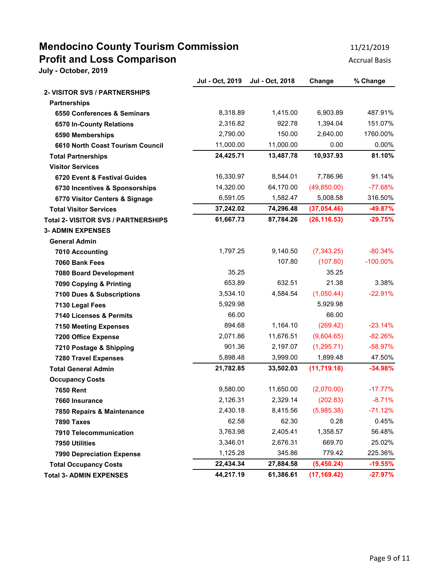## **Mendocino County Tourism Commission** 11/21/2019 **Profit and Loss Comparison Accrual Basis** Accrual Basis

|                                            | Jul - Oct, 2019 | Jul - Oct, 2018 | Change       | % Change    |
|--------------------------------------------|-----------------|-----------------|--------------|-------------|
| <b>2- VISITOR SVS / PARTNERSHIPS</b>       |                 |                 |              |             |
| <b>Partnerships</b>                        |                 |                 |              |             |
| 6550 Conferences & Seminars                | 8,318.89        | 1,415.00        | 6,903.89     | 487.91%     |
| 6570 In-County Relations                   | 2,316.82        | 922.78          | 1,394.04     | 151.07%     |
| 6590 Memberships                           | 2,790.00        | 150.00          | 2,640.00     | 1760.00%    |
| 6610 North Coast Tourism Council           | 11,000.00       | 11,000.00       | 0.00         | $0.00\%$    |
| <b>Total Partnerships</b>                  | 24,425.71       | 13,487.78       | 10,937.93    | 81.10%      |
| <b>Visitor Services</b>                    |                 |                 |              |             |
| 6720 Event & Festival Guides               | 16,330.97       | 8,544.01        | 7,786.96     | 91.14%      |
| 6730 Incentives & Sponsorships             | 14,320.00       | 64,170.00       | (49, 850.00) | $-77.68%$   |
| 6770 Visitor Centers & Signage             | 6,591.05        | 1,582.47        | 5,008.58     | 316.50%     |
| <b>Total Visitor Services</b>              | 37,242.02       | 74,296.48       | (37,054.46)  | -49.87%     |
| <b>Total 2- VISITOR SVS / PARTNERSHIPS</b> | 61,667.73       | 87,784.26       | (26, 116.53) | $-29.75%$   |
| <b>3- ADMIN EXPENSES</b>                   |                 |                 |              |             |
| <b>General Admin</b>                       |                 |                 |              |             |
| 7010 Accounting                            | 1,797.25        | 9,140.50        | (7, 343.25)  | $-80.34%$   |
| 7060 Bank Fees                             |                 | 107.80          | (107.80)     | $-100.00\%$ |
| 7080 Board Development                     | 35.25           |                 | 35.25        |             |
| 7090 Copying & Printing                    | 653.89          | 632.51          | 21.38        | 3.38%       |
| 7100 Dues & Subscriptions                  | 3,534.10        | 4,584.54        | (1,050.44)   | $-22.91%$   |
| 7130 Legal Fees                            | 5,929.98        |                 | 5,929.98     |             |
| 7140 Licenses & Permits                    | 66.00           |                 | 66.00        |             |
| <b>7150 Meeting Expenses</b>               | 894.68          | 1,164.10        | (269.42)     | $-23.14%$   |
| 7200 Office Expense                        | 2,071.86        | 11,676.51       | (9,604.65)   | $-82.26%$   |
| 7210 Postage & Shipping                    | 901.36          | 2,197.07        | (1,295.71)   | $-58.97%$   |
| <b>7280 Travel Expenses</b>                | 5,898.48        | 3,999.00        | 1,899.48     | 47.50%      |
| <b>Total General Admin</b>                 | 21,782.85       | 33,502.03       | (11, 719.18) | $-34.98%$   |
| <b>Occupancy Costs</b>                     |                 |                 |              |             |
| <b>7650 Rent</b>                           | 9,580.00        | 11,650.00       | (2,070.00)   | $-17.77%$   |
| 7660 Insurance                             | 2,126.31        | 2,329.14        | (202.83)     | $-8.71%$    |
| 7850 Repairs & Maintenance                 | 2,430.18        | 8,415.56        | (5,985.38)   | $-71.12%$   |
| 7890 Taxes                                 | 62.58           | 62.30           | 0.28         | 0.45%       |
| 7910 Telecommunication                     | 3,763.98        | 2,405.41        | 1,358.57     | 56.48%      |
| 7950 Utilities                             | 3,346.01        | 2,676.31        | 669.70       | 25.02%      |
| <b>7990 Depreciation Expense</b>           | 1,125.28        | 345.86          | 779.42       | 225.36%     |
| <b>Total Occupancy Costs</b>               | 22,434.34       | 27,884.58       | (5,450.24)   | $-19.55%$   |
| <b>Total 3- ADMIN EXPENSES</b>             | 44,217.19       | 61,386.61       | (17, 169.42) | $-27.97%$   |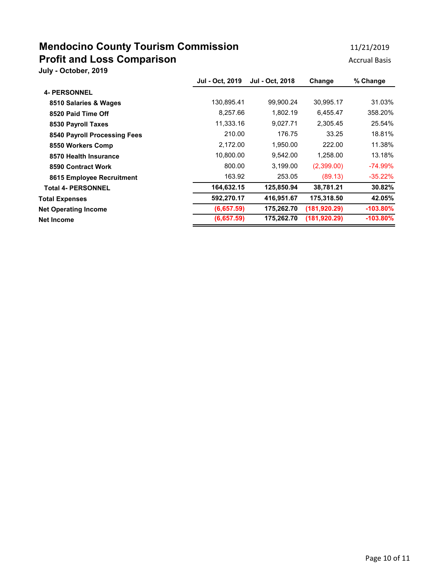## **Mendocino County Tourism Commission** 11/21/2019 **Profit and Loss Comparison Accrual Basis** Accrual Basis

|                              | Jul - Oct. 2019 | Jul - Oct. 2018 | Change        | % Change    |
|------------------------------|-----------------|-----------------|---------------|-------------|
| <b>4- PERSONNEL</b>          |                 |                 |               |             |
| 8510 Salaries & Wages        | 130,895.41      | 99,900.24       | 30,995.17     | 31.03%      |
| 8520 Paid Time Off           | 8,257.66        | 1,802.19        | 6,455.47      | 358.20%     |
| 8530 Payroll Taxes           | 11,333.16       | 9,027.71        | 2,305.45      | 25.54%      |
| 8540 Payroll Processing Fees | 210.00          | 176.75          | 33.25         | 18.81%      |
| 8550 Workers Comp            | 2,172.00        | 1,950.00        | 222.00        | 11.38%      |
| 8570 Health Insurance        | 10,800.00       | 9,542.00        | 1,258.00      | 13.18%      |
| 8590 Contract Work           | 800.00          | 3,199.00        | (2,399.00)    | $-74.99\%$  |
| 8615 Employee Recruitment    | 163.92          | 253.05          | (89.13)       | $-35.22%$   |
| <b>Total 4- PERSONNEL</b>    | 164,632.15      | 125,850.94      | 38,781.21     | 30.82%      |
| <b>Total Expenses</b>        | 592,270.17      | 416,951.67      | 175,318.50    | 42.05%      |
| <b>Net Operating Income</b>  | (6,657.59)      | 175,262.70      | (181, 920.29) | $-103.80\%$ |
| <b>Net Income</b>            | (6,657.59)      | 175,262.70      | (181, 920.29) | $-103.80\%$ |